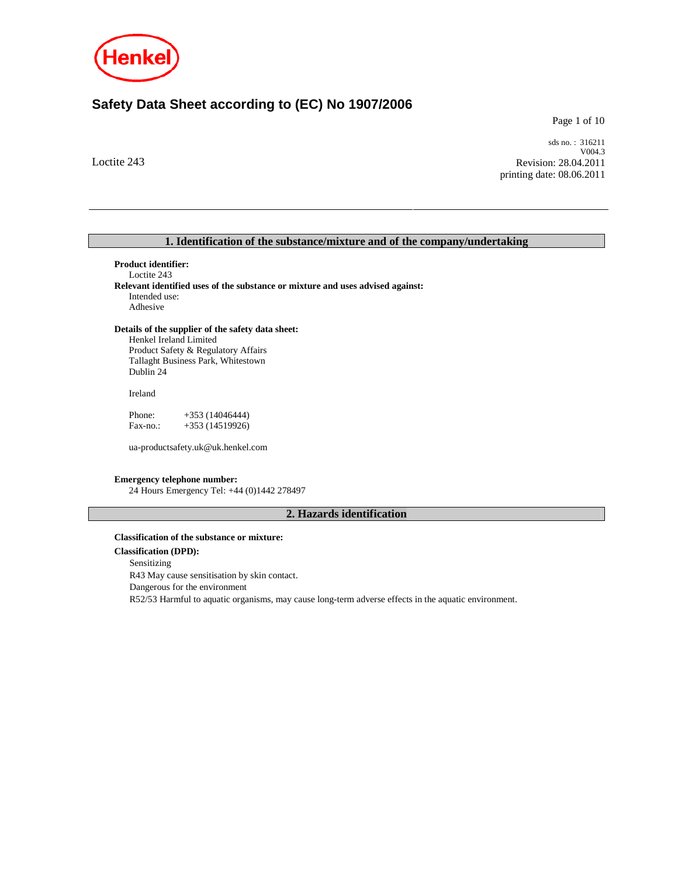

# **Safety Data Sheet according to (EC) No 1907/2006**

Page 1 of 10

Loctite 243

sds no. : 316211 V004.3 Revision: 28.04.2011 printing date: 08.06.2011

# **1. Identification of the substance/mixture and of the company/undertaking**

**Product identifier:**  Loctite 243 **Relevant identified uses of the substance or mixture and uses advised against:**  Intended use: Adhesive

### **Details of the supplier of the safety data sheet:**

Henkel Ireland Limited Product Safety & Regulatory Affairs Tallaght Business Park, Whitestown Dublin 24

Ireland

Phone: +353 (14046444) Fax-no.: +353 (14519926)

ua-productsafety.uk@uk.henkel.com

### **Emergency telephone number:**

24 Hours Emergency Tel: +44 (0)1442 278497

# **2. Hazards identification**

#### **Classification of the substance or mixture:**

**Classification (DPD):** Sensitizing R43 May cause sensitisation by skin contact. Dangerous for the environment R52/53 Harmful to aquatic organisms, may cause long-term adverse effects in the aquatic environment.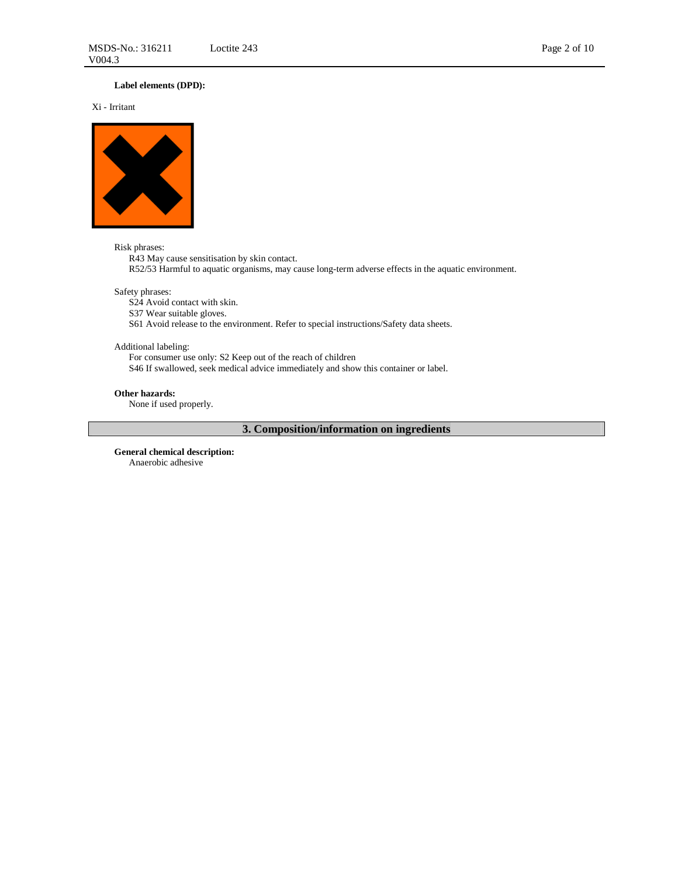# **Label elements (DPD):**

Xi - Irritant



#### Risk phrases:

R43 May cause sensitisation by skin contact.

R52/53 Harmful to aquatic organisms, may cause long-term adverse effects in the aquatic environment.

### Safety phrases:

S24 Avoid contact with skin.

S37 Wear suitable gloves.

S61 Avoid release to the environment. Refer to special instructions/Safety data sheets.

### Additional labeling:

For consumer use only: S2 Keep out of the reach of children S46 If swallowed, seek medical advice immediately and show this container or label.

#### **Other hazards:**

None if used properly.

# **3. Composition/information on ingredients**

**General chemical description:**  Anaerobic adhesive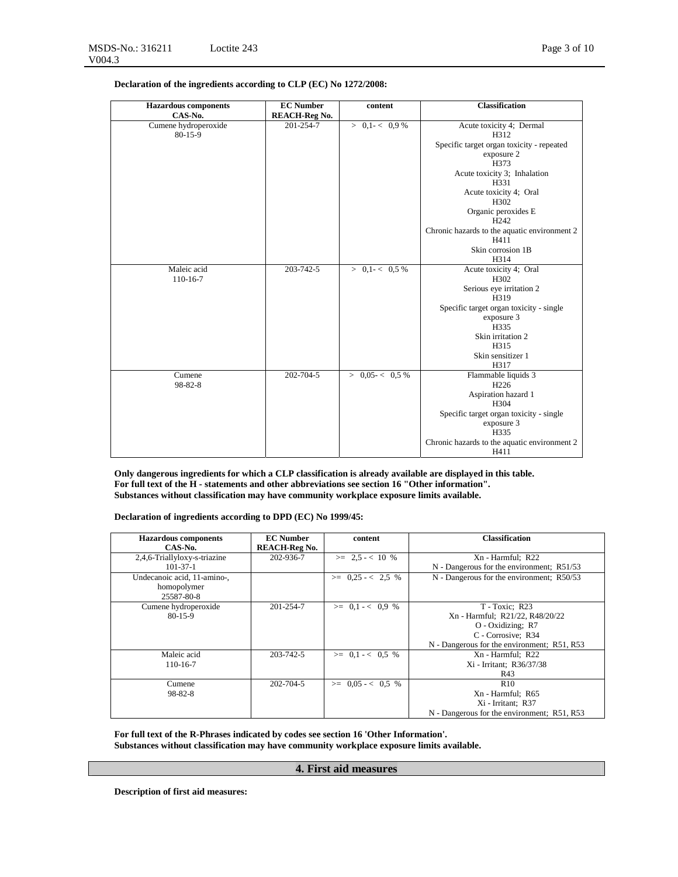**Declaration of the ingredients according to CLP (EC) No 1272/2008:**

| <b>Hazardous</b> components<br>CAS-No. | <b>EC</b> Number<br><b>REACH-Reg No.</b> | content            | <b>Classification</b>                        |
|----------------------------------------|------------------------------------------|--------------------|----------------------------------------------|
| Cumene hydroperoxide<br>80-15-9        | 201-254-7                                | $> 0.1 - < 0.9 \%$ | Acute toxicity 4; Dermal<br>H312             |
|                                        |                                          |                    | Specific target organ toxicity - repeated    |
|                                        |                                          |                    | exposure 2                                   |
|                                        |                                          |                    | H373                                         |
|                                        |                                          |                    | Acute toxicity 3; Inhalation                 |
|                                        |                                          |                    | H331<br>Acute toxicity 4; Oral               |
|                                        |                                          |                    | H302                                         |
|                                        |                                          |                    | Organic peroxides E                          |
|                                        |                                          |                    | H <sub>242</sub>                             |
|                                        |                                          |                    | Chronic hazards to the aquatic environment 2 |
|                                        |                                          |                    | H411                                         |
|                                        |                                          |                    | Skin corrosion 1B                            |
|                                        |                                          |                    | H314                                         |
| Maleic acid                            | 203-742-5                                | $> 0.1 - < 0.5 \%$ | Acute toxicity 4; Oral<br>H302               |
| 110-16-7                               |                                          |                    | Serious eye irritation 2                     |
|                                        |                                          |                    | H319                                         |
|                                        |                                          |                    | Specific target organ toxicity - single      |
|                                        |                                          |                    | exposure 3                                   |
|                                        |                                          |                    | H335                                         |
|                                        |                                          |                    | Skin irritation 2                            |
|                                        |                                          |                    | H315                                         |
|                                        |                                          |                    | Skin sensitizer 1<br>H317                    |
| Cumene                                 | 202-704-5                                | > 0.05 < 0.5 %     | Flammable liquids 3                          |
| 98-82-8                                |                                          |                    | H <sub>226</sub>                             |
|                                        |                                          |                    | Aspiration hazard 1                          |
|                                        |                                          |                    | H <sub>304</sub>                             |
|                                        |                                          |                    | Specific target organ toxicity - single      |
|                                        |                                          |                    | exposure 3                                   |
|                                        |                                          |                    | H335                                         |
|                                        |                                          |                    | Chronic hazards to the aquatic environment 2 |
|                                        |                                          |                    | H411                                         |

**Only dangerous ingredients for which a CLP classification is already available are displayed in this table. For full text of the H - statements and other abbreviations see section 16 "Other information". Substances without classification may have community workplace exposure limits available.**

**Declaration of ingredients according to DPD (EC) No 1999/45:** 

| <b>Hazardous components</b>  | <b>EC</b> Number     | content               | <b>Classification</b>                       |
|------------------------------|----------------------|-----------------------|---------------------------------------------|
| CAS-No.                      | <b>REACH-Reg No.</b> |                       |                                             |
| 2,4,6-Triallyloxy-s-triazine | 202-936-7            | $>= 2.5 - < 10$ %     | Xn - Harmful; R22                           |
| $101 - 37 - 1$               |                      |                       | N - Dangerous for the environment; R51/53   |
| Undecanoic acid, 11-amino-,  |                      | $\geq$ 0.25 - < 2.5 % | N - Dangerous for the environment; R50/53   |
| homopolymer                  |                      |                       |                                             |
| 25587-80-8                   |                      |                       |                                             |
| Cumene hydroperoxide         | 201-254-7            | $>= 0.1 - < 0.9$ %    | T - Toxic: R23                              |
| $80-15-9$                    |                      |                       | Xn - Harmful; R21/22, R48/20/22             |
|                              |                      |                       | $O$ - Oxidizing; R7                         |
|                              |                      |                       | C - Corrosive; R34                          |
|                              |                      |                       | N - Dangerous for the environment; R51, R53 |
| Maleic acid                  | 203-742-5            | $\geq$ 0.1 - < 0.5 %  | Xn - Harmful; R22                           |
| 110-16-7                     |                      |                       | Xi - Irritant; R36/37/38                    |
|                              |                      |                       | R43                                         |
| Cumene                       | 202-704-5            | $\geq$ 0.05 - < 0.5 % | R10                                         |
| $98 - 82 - 8$                |                      |                       | Xn - Harmful; R65                           |
|                              |                      |                       | Xi - Irritant; R37                          |
|                              |                      |                       | N - Dangerous for the environment; R51, R53 |

**For full text of the R-Phrases indicated by codes see section 16 'Other Information'. Substances without classification may have community workplace exposure limits available.**

### **4. First aid measures**

**Description of first aid measures:**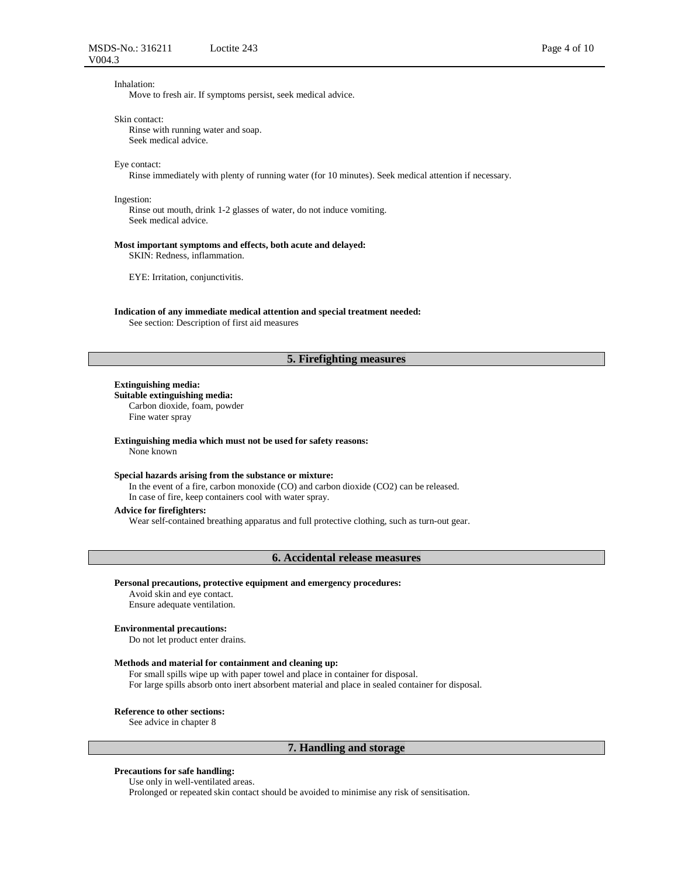### Inhalation:

Move to fresh air. If symptoms persist, seek medical advice.

#### Skin contact:

Rinse with running water and soap. Seek medical advice.

#### Eye contact:

Rinse immediately with plenty of running water (for 10 minutes). Seek medical attention if necessary.

#### Ingestion:

Rinse out mouth, drink 1-2 glasses of water, do not induce vomiting. Seek medical advice.

#### **Most important symptoms and effects, both acute and delayed:**

SKIN: Redness, inflammation.

EYE: Irritation, conjunctivitis.

#### **Indication of any immediate medical attention and special treatment needed:**  See section: Description of first aid measures

### **5. Firefighting measures**

#### **Extinguishing media:**

**Suitable extinguishing media:**  Carbon dioxide, foam, powder Fine water spray

#### **Extinguishing media which must not be used for safety reasons:**

None known

#### **Special hazards arising from the substance or mixture:**

In the event of a fire, carbon monoxide (CO) and carbon dioxide (CO2) can be released. In case of fire, keep containers cool with water spray.

#### **Advice for firefighters:**

Wear self-contained breathing apparatus and full protective clothing, such as turn-out gear.

#### **6. Accidental release measures**

#### **Personal precautions, protective equipment and emergency procedures:**

Avoid skin and eye contact. Ensure adequate ventilation.

#### **Environmental precautions:**

Do not let product enter drains.

### **Methods and material for containment and cleaning up:**

For small spills wipe up with paper towel and place in container for disposal. For large spills absorb onto inert absorbent material and place in sealed container for disposal.

### **Reference to other sections:**

See advice in chapter 8

### **7. Handling and storage**

### **Precautions for safe handling:**

Use only in well-ventilated areas.

Prolonged or repeated skin contact should be avoided to minimise any risk of sensitisation.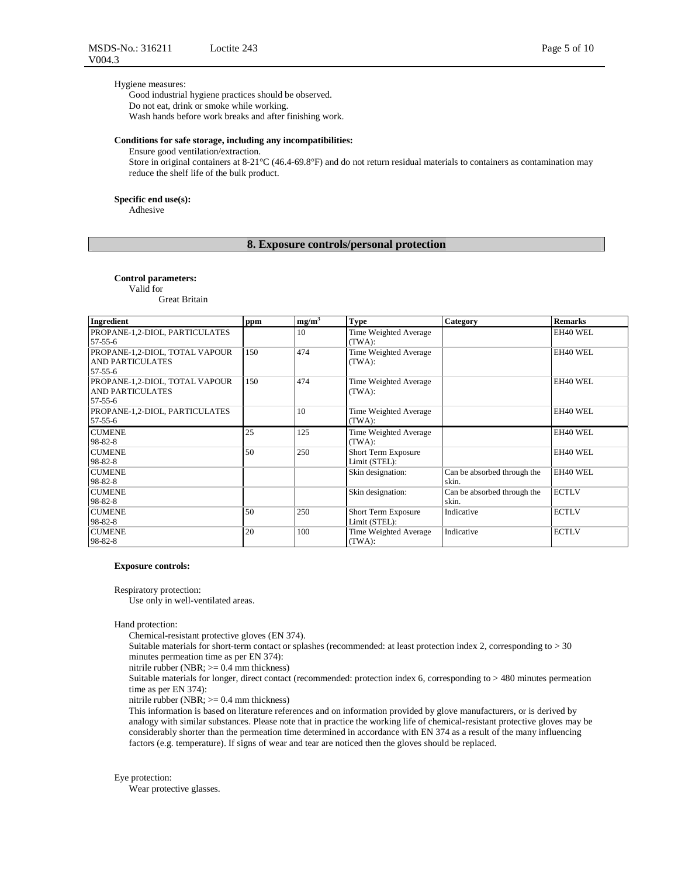### Hygiene measures:

Good industrial hygiene practices should be observed. Do not eat, drink or smoke while working. Wash hands before work breaks and after finishing work.

### **Conditions for safe storage, including any incompatibilities:**

Ensure good ventilation/extraction.

Store in original containers at 8-21°C (46.4-69.8°F) and do not return residual materials to containers as contamination may reduce the shelf life of the bulk product.

#### **Specific end use(s):**

Adhesive

### **8. Exposure controls/personal protection**

#### **Control parameters:**

Valid for

Great Britain

| Ingredient                                                           | ppm | $mg/m^3$ | <b>Type</b>                                 | Category                             | <b>Remarks</b> |
|----------------------------------------------------------------------|-----|----------|---------------------------------------------|--------------------------------------|----------------|
| PROPANE-1,2-DIOL, PARTICULATES<br>57-55-6                            |     | 10       | Time Weighted Average<br>(TWA):             |                                      | EH40 WEL       |
| PROPANE-1,2-DIOL, TOTAL VAPOUR<br><b>AND PARTICULATES</b><br>57-55-6 | 150 | 474      | Time Weighted Average<br>(TWA):             |                                      | EH40 WEL       |
| PROPANE-1,2-DIOL, TOTAL VAPOUR<br><b>AND PARTICULATES</b><br>57-55-6 | 150 | 474      | Time Weighted Average<br>(TWA):             |                                      | EH40 WEL       |
| PROPANE-1,2-DIOL, PARTICULATES<br>57-55-6                            |     | 10       | Time Weighted Average<br>(TWA):             |                                      | EH40 WEL       |
| <b>CUMENE</b><br>98-82-8                                             | 25  | 125      | Time Weighted Average<br>(TWA):             |                                      | EH40 WEL       |
| <b>CUMENE</b><br>98-82-8                                             | 50  | 250      | <b>Short Term Exposure</b><br>Limit (STEL): |                                      | EH40 WEL       |
| <b>CUMENE</b><br>98-82-8                                             |     |          | Skin designation:                           | Can be absorbed through the<br>skin. | EH40 WEL       |
| <b>CUMENE</b><br>98-82-8                                             |     |          | Skin designation:                           | Can be absorbed through the<br>skin. | <b>ECTLV</b>   |
| <b>CUMENE</b><br>98-82-8                                             | 50  | 250      | Short Term Exposure<br>Limit (STEL):        | Indicative                           | <b>ECTLV</b>   |
| <b>CUMENE</b><br>98-82-8                                             | 20  | 100      | Time Weighted Average<br>(TWA):             | Indicative                           | <b>ECTLV</b>   |

#### **Exposure controls:**

Respiratory protection:

Use only in well-ventilated areas.

Hand protection:

Chemical-resistant protective gloves (EN 374).

Suitable materials for short-term contact or splashes (recommended: at least protection index 2, corresponding to > 30 minutes permeation time as per EN 374):

nitrile rubber (NBR; >= 0.4 mm thickness)

Suitable materials for longer, direct contact (recommended: protection index 6, corresponding to > 480 minutes permeation time as per EN 374):

nitrile rubber (NBR; >= 0.4 mm thickness)

This information is based on literature references and on information provided by glove manufacturers, or is derived by analogy with similar substances. Please note that in practice the working life of chemical-resistant protective gloves may be considerably shorter than the permeation time determined in accordance with EN 374 as a result of the many influencing factors (e.g. temperature). If signs of wear and tear are noticed then the gloves should be replaced.

### Eye protection:

Wear protective glasses.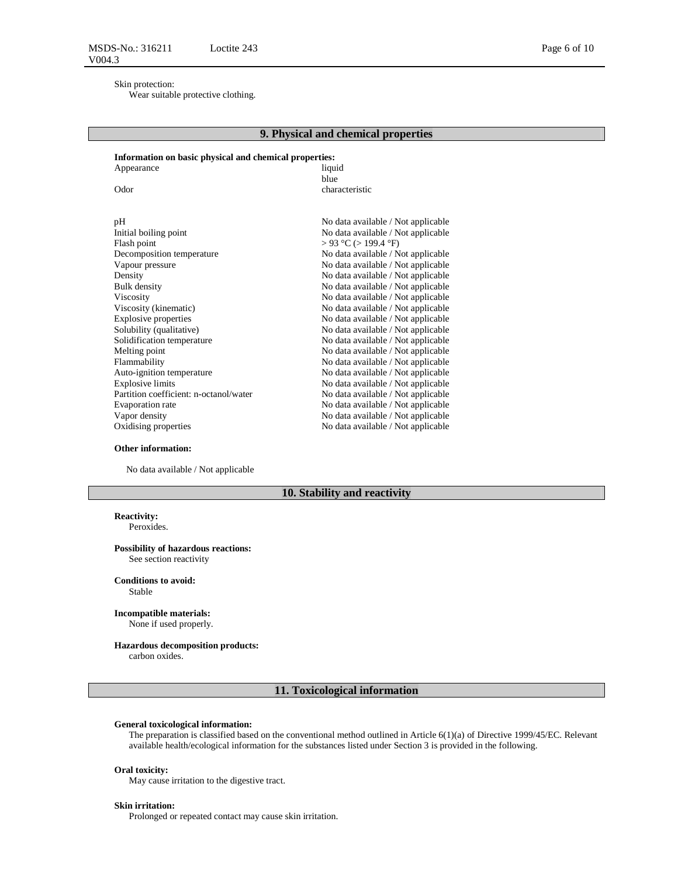### Skin protection:

Wear suitable protective clothing.

### **9. Physical and chemical properties**

#### **Information on basic physical and chemical properties:**  Appearance liquid

blue Odor characteristic pH<br>Initial boiling point and the set of the set of the Modata available / Not applicable<br>Initial boiling point and the Modata available / Not applicable No data available / Not applicable Flash point  $> 93 \degree C$  (> 199.4 °F) Decomposition temperature No data available / Not applicable Vapour pressure No data available / Not applicable Density No data available / Not applicable Bulk density No data available / Not applicable Viscosity No data available / Not applicable Viscosity (kinematic) No data available / Not applicable Explosive properties No data available / Not applicable Solubility (qualitative) No data available / Not applicable Solidification temperature No data available / Not applicable Melting point No data available / Not applicable Flammability No data available / Not applicable Auto-ignition temperature<br>
Explosive limits<br>
No data available / Not applicable<br>
No data available / Not applicable No data available / Not applicable Partition coefficient: n-octanol/water No data available / Not applicable<br>Evaporation rate No data available / Not applicable No data available / Not applicable Vapor density No data available / Not applicable Oxidising properties No data available / Not applicable

#### **Other information:**

No data available / Not applicable

### **10. Stability and reactivity**

### **Reactivity:**

Peroxides.

#### **Possibility of hazardous reactions:** See section reactivity

**Conditions to avoid:**

Stable

### **Incompatible materials:**

None if used properly.

#### **Hazardous decomposition products:**

carbon oxides.

### **11. Toxicological information**

#### **General toxicological information:**

The preparation is classified based on the conventional method outlined in Article 6(1)(a) of Directive 1999/45/EC. Relevant available health/ecological information for the substances listed under Section 3 is provided in the following.

#### **Oral toxicity:**

May cause irritation to the digestive tract.

#### **Skin irritation:**

Prolonged or repeated contact may cause skin irritation.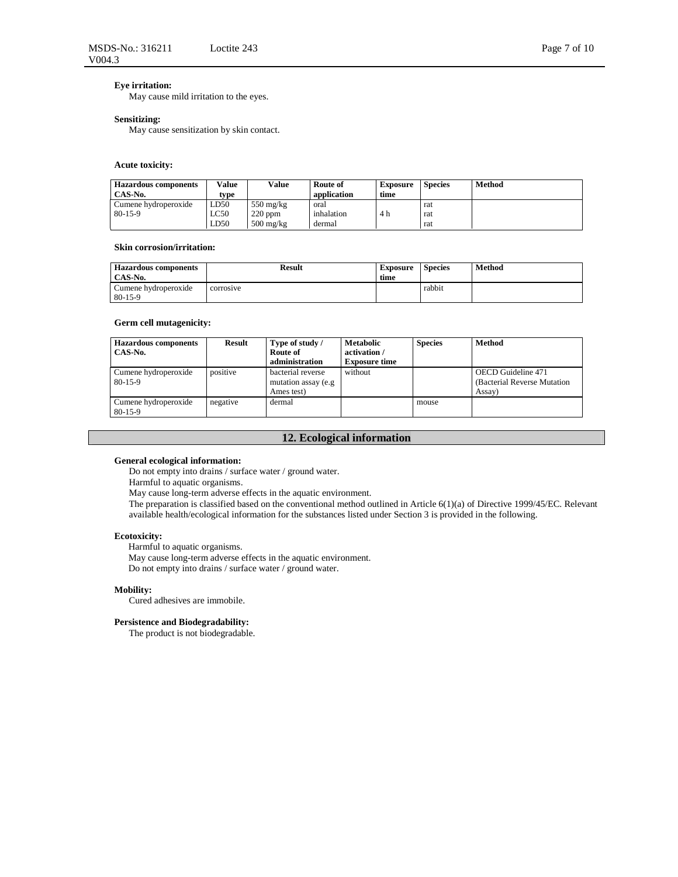## **Eye irritation:**

May cause mild irritation to the eyes.

#### **Sensitizing:**

May cause sensitization by skin contact.

### **Acute toxicity:**

| <b>Hazardous</b> components | Value | Value               | Route of    | <b>Exposure</b> | <b>Species</b> | Method |
|-----------------------------|-------|---------------------|-------------|-----------------|----------------|--------|
| CAS-No.                     | type  |                     | application | time            |                |        |
| Cumene hydroperoxide        | LD50  | $550 \text{ mg/kg}$ | oral        |                 | rat            |        |
| $80-15-9$                   | LC50  | $220$ ppm           | inhalation  | 4 h             | rat            |        |
|                             | LD50  | $500 \text{ mg/kg}$ | dermal      |                 | rat            |        |

#### **Skin corrosion/irritation:**

| <b>Hazardous components</b><br>CAS-No. | <b>Result</b> | <b>Exposure</b><br>time | <b>Species</b> | Method |
|----------------------------------------|---------------|-------------------------|----------------|--------|
| Cumene hydroperoxide<br>$80-15-9$      | corrosive     |                         | rabbit         |        |

### **Germ cell mutagenicity:**

| <b>Hazardous components</b><br>CAS-No. | Result   | Type of study /<br>Route of<br>administration           | <b>Metabolic</b><br>activation /<br><b>Exposure time</b> | <b>Species</b> | <b>Method</b>                                                |
|----------------------------------------|----------|---------------------------------------------------------|----------------------------------------------------------|----------------|--------------------------------------------------------------|
| Cumene hydroperoxide<br>$80-15-9$      | positive | bacterial reverse<br>mutation assay (e.g.<br>Ames test) | without                                                  |                | OECD Guideline 471<br>(Bacterial Reverse Mutation)<br>Assay) |
| Cumene hydroperoxide<br>$80-15-9$      | negative | dermal                                                  |                                                          | mouse          |                                                              |

# **12. Ecological information**

### **General ecological information:**

Do not empty into drains / surface water / ground water.

Harmful to aquatic organisms.

May cause long-term adverse effects in the aquatic environment.

The preparation is classified based on the conventional method outlined in Article 6(1)(a) of Directive 1999/45/EC. Relevant available health/ecological information for the substances listed under Section 3 is provided in the following.

### **Ecotoxicity:**

Harmful to aquatic organisms.

May cause long-term adverse effects in the aquatic environment. Do not empty into drains / surface water / ground water.

### **Mobility:**

Cured adhesives are immobile.

#### **Persistence and Biodegradability:**

The product is not biodegradable.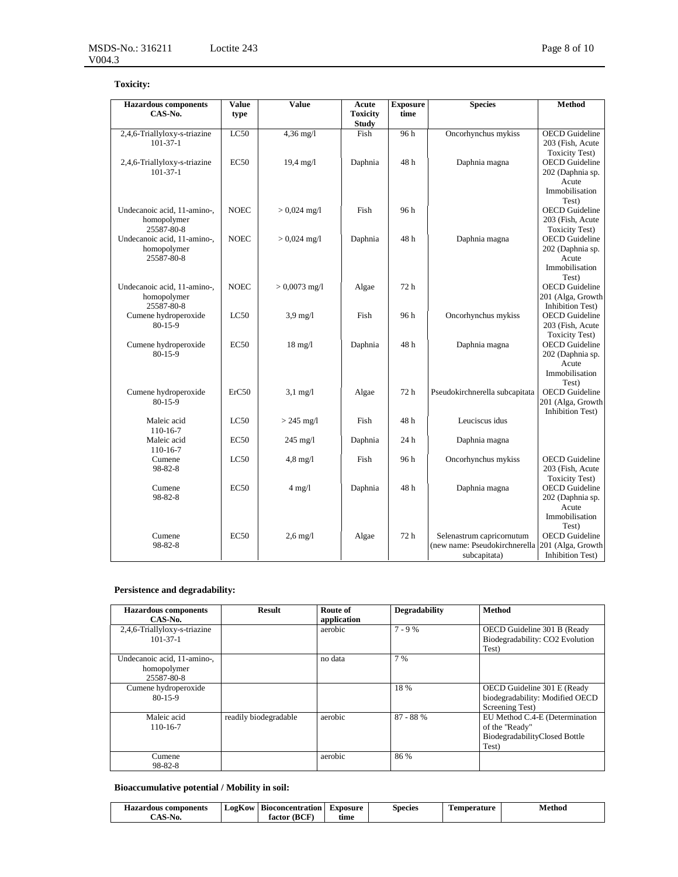# **Toxicity:**

| <b>Hazardous</b> components<br>CAS-No. | <b>Value</b><br>type | <b>Value</b>        | Acute<br><b>Toxicity</b> | <b>Exposure</b><br>time | <b>Species</b>                                  | Method                                         |
|----------------------------------------|----------------------|---------------------|--------------------------|-------------------------|-------------------------------------------------|------------------------------------------------|
|                                        |                      |                     | <b>Study</b>             |                         |                                                 |                                                |
| 2,4,6-Triallyloxy-s-triazine           | LC50                 | $4,36$ mg/l         | Fish                     | 96 h                    | Oncorhynchus mykiss                             | <b>OECD</b> Guideline                          |
| $101-37-1$                             |                      |                     |                          |                         |                                                 | 203 (Fish, Acute<br><b>Toxicity Test)</b>      |
| 2,4,6-Triallyloxy-s-triazine           | <b>EC50</b>          | $19,4 \text{ mg}/1$ | Daphnia                  | 48h                     | Daphnia magna                                   | <b>OECD</b> Guideline                          |
| $101-37-1$                             |                      |                     |                          |                         |                                                 | 202 (Daphnia sp.                               |
|                                        |                      |                     |                          |                         |                                                 | Acute                                          |
|                                        |                      |                     |                          |                         |                                                 | Immobilisation                                 |
|                                        |                      |                     |                          |                         |                                                 | Test)                                          |
| Undecanoic acid, 11-amino-,            | <b>NOEC</b>          | $> 0,024$ mg/l      | Fish                     | 96 h                    |                                                 | <b>OECD</b> Guideline                          |
| homopolymer                            |                      |                     |                          |                         |                                                 | 203 (Fish, Acute                               |
| 25587-80-8                             |                      |                     |                          |                         |                                                 | <b>Toxicity Test)</b>                          |
| Undecanoic acid, 11-amino-,            | <b>NOEC</b>          | $> 0,024$ mg/l      | Daphnia                  | 48h                     | Daphnia magna                                   | <b>OECD</b> Guideline                          |
| homopolymer                            |                      |                     |                          |                         |                                                 | 202 (Daphnia sp.                               |
| 25587-80-8                             |                      |                     |                          |                         |                                                 | Acute                                          |
|                                        |                      |                     |                          |                         |                                                 | Immobilisation                                 |
|                                        |                      |                     |                          |                         |                                                 | Test)                                          |
| Undecanoic acid, 11-amino-,            | <b>NOEC</b>          | $> 0,0073$ mg/l     | Algae                    | 72 h                    |                                                 | <b>OECD</b> Guideline                          |
| homopolymer                            |                      |                     |                          |                         |                                                 | 201 (Alga, Growth                              |
| 25587-80-8                             |                      |                     |                          |                         |                                                 | <b>Inhibition Test)</b>                        |
| Cumene hydroperoxide                   | LC50                 | $3.9$ mg/l          | Fish                     | 96 h                    | Oncorhynchus mykiss                             | <b>OECD</b> Guideline                          |
| $80 - 15 - 9$                          |                      |                     |                          |                         |                                                 | 203 (Fish, Acute                               |
|                                        |                      |                     |                          |                         |                                                 | <b>Toxicity Test)</b>                          |
| Cumene hydroperoxide                   | EC50                 | $18 \text{ mg}/l$   | Daphnia                  | 48h                     | Daphnia magna                                   | <b>OECD</b> Guideline                          |
| $80 - 15 - 9$                          |                      |                     |                          |                         |                                                 | 202 (Daphnia sp.                               |
|                                        |                      |                     |                          |                         |                                                 | Acute                                          |
|                                        |                      |                     |                          |                         |                                                 | Immobilisation                                 |
|                                        |                      |                     |                          |                         |                                                 | Test)                                          |
| Cumene hydroperoxide                   | ErC50                | $3,1$ mg/l          | Algae                    | 72 h                    | Pseudokirchnerella subcapitata                  | <b>OECD</b> Guideline                          |
| 80-15-9                                |                      |                     |                          |                         |                                                 | 201 (Alga, Growth                              |
|                                        |                      |                     |                          |                         |                                                 | Inhibition Test)                               |
| Maleic acid                            | LC50                 | $> 245$ mg/l        | Fish                     | 48h                     | Leuciscus idus                                  |                                                |
| 110-16-7                               |                      |                     |                          |                         |                                                 |                                                |
| Maleic acid                            | EC50                 | $245$ mg/l          | Daphnia                  | 24 h                    | Daphnia magna                                   |                                                |
| 110-16-7                               |                      |                     |                          |                         |                                                 |                                                |
| Cumene                                 | LC50                 | $4,8$ mg/l          | Fish                     | 96h                     | Oncorhynchus mykiss                             | <b>OECD</b> Guideline                          |
| 98-82-8                                |                      |                     |                          |                         |                                                 | 203 (Fish, Acute                               |
|                                        |                      |                     |                          |                         |                                                 | <b>Toxicity Test)</b><br><b>OECD</b> Guideline |
| Cumene                                 | EC50                 | $4$ mg/l            | Daphnia                  | 48h                     | Daphnia magna                                   |                                                |
| 98-82-8                                |                      |                     |                          |                         |                                                 | 202 (Daphnia sp.<br>Acute                      |
|                                        |                      |                     |                          |                         |                                                 | Immobilisation                                 |
|                                        |                      |                     |                          |                         |                                                 | Test)                                          |
| Cumene                                 | EC50                 | $2,6$ mg/l          | Algae                    | 72 h                    | Selenastrum capricornutum                       | <b>OECD</b> Guideline                          |
| 98-82-8                                |                      |                     |                          |                         | (new name: Pseudokirchnerella 201 (Alga, Growth |                                                |
|                                        |                      |                     |                          |                         | subcapitata)                                    | <b>Inhibition Test)</b>                        |
|                                        |                      |                     |                          |                         |                                                 |                                                |

# **Persistence and degradability:**

|                                                          | <b>Result</b>         | Route of    | Degradability | <b>Method</b>                                                                              |
|----------------------------------------------------------|-----------------------|-------------|---------------|--------------------------------------------------------------------------------------------|
| <b>Hazardous</b> components<br>CAS-No.                   |                       | application |               |                                                                                            |
| 2,4,6-Triallyloxy-s-triazine<br>$101 - 37 - 1$           |                       | aerobic     | $7 - 9%$      | OECD Guideline 301 B (Ready<br>Biodegradability: CO2 Evolution<br>Test)                    |
| Undecanoic acid, 11-amino-,<br>homopolymer<br>25587-80-8 |                       | no data     | 7 %           |                                                                                            |
| Cumene hydroperoxide<br>$80 - 15 - 9$                    |                       |             | 18 %          | OECD Guideline 301 E (Ready<br>biodegradability: Modified OECD<br>Screening Test)          |
| Maleic acid<br>110-16-7                                  | readily biodegradable | aerobic     | 87 - 88 %     | EU Method C.4-E (Determination<br>of the "Ready"<br>BiodegradabilityClosed Bottle<br>Test) |
| Cumene<br>98-82-8                                        |                       | aerobic     | 86 %          |                                                                                            |

# **Bioaccumulative potential / Mobility in soil:**

| components<br>Hazardous | $-$<br>L02K0W | $\mathbf{r}$<br><b>Bioconcentration</b> | ∠xposure | Species | perature<br>`am | Method |
|-------------------------|---------------|-----------------------------------------|----------|---------|-----------------|--------|
| NU                      |               | mп<br>factor<br>∼                       | tıme     |         |                 |        |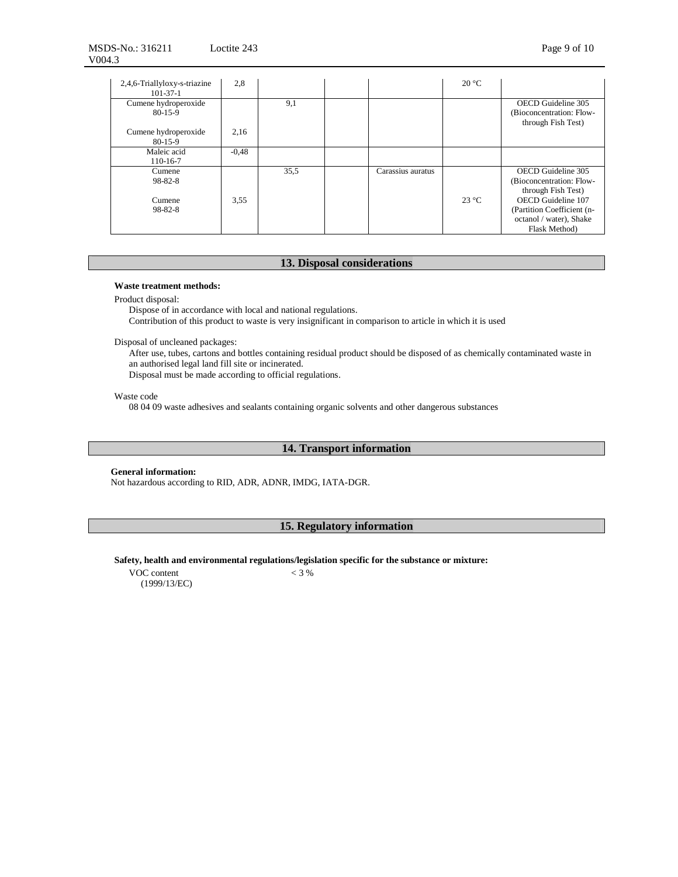| 2,4,6-Triallyloxy-s-triazine<br>$101 - 37 - 1$ | 2,8     |      |                   | $20^{\circ}$ C |                                                                                              |
|------------------------------------------------|---------|------|-------------------|----------------|----------------------------------------------------------------------------------------------|
| Cumene hydroperoxide<br>$80-15-9$              |         | 9,1  |                   |                | OECD Guideline 305<br>(Bioconcentration: Flow-<br>through Fish Test)                         |
| Cumene hydroperoxide<br>$80-15-9$              | 2,16    |      |                   |                |                                                                                              |
| Maleic acid<br>110-16-7                        | $-0.48$ |      |                   |                |                                                                                              |
| Cumene<br>98-82-8                              |         | 35,5 | Carassius auratus |                | OECD Guideline 305<br>(Bioconcentration: Flow-<br>through Fish Test)                         |
| Cumene<br>98-82-8                              | 3.55    |      |                   | $23^{\circ}$ C | OECD Guideline 107<br>(Partition Coefficient (n-<br>octanol / water), Shake<br>Flask Method) |

# **13. Disposal considerations**

### **Waste treatment methods:**

Product disposal:

Dispose of in accordance with local and national regulations.

Contribution of this product to waste is very insignificant in comparison to article in which it is used

Disposal of uncleaned packages:

After use, tubes, cartons and bottles containing residual product should be disposed of as chemically contaminated waste in an authorised legal land fill site or incinerated.

Disposal must be made according to official regulations.

Waste code

08 04 09 waste adhesives and sealants containing organic solvents and other dangerous substances

### **14. Transport information**

### **General information:**

Not hazardous according to RID, ADR, ADNR, IMDG, IATA-DGR.

# **15. Regulatory information**

**Safety, health and environmental regulations/legislation specific for the substance or mixture:** 

VOC content (1999/13/EC)  $< 3 %$